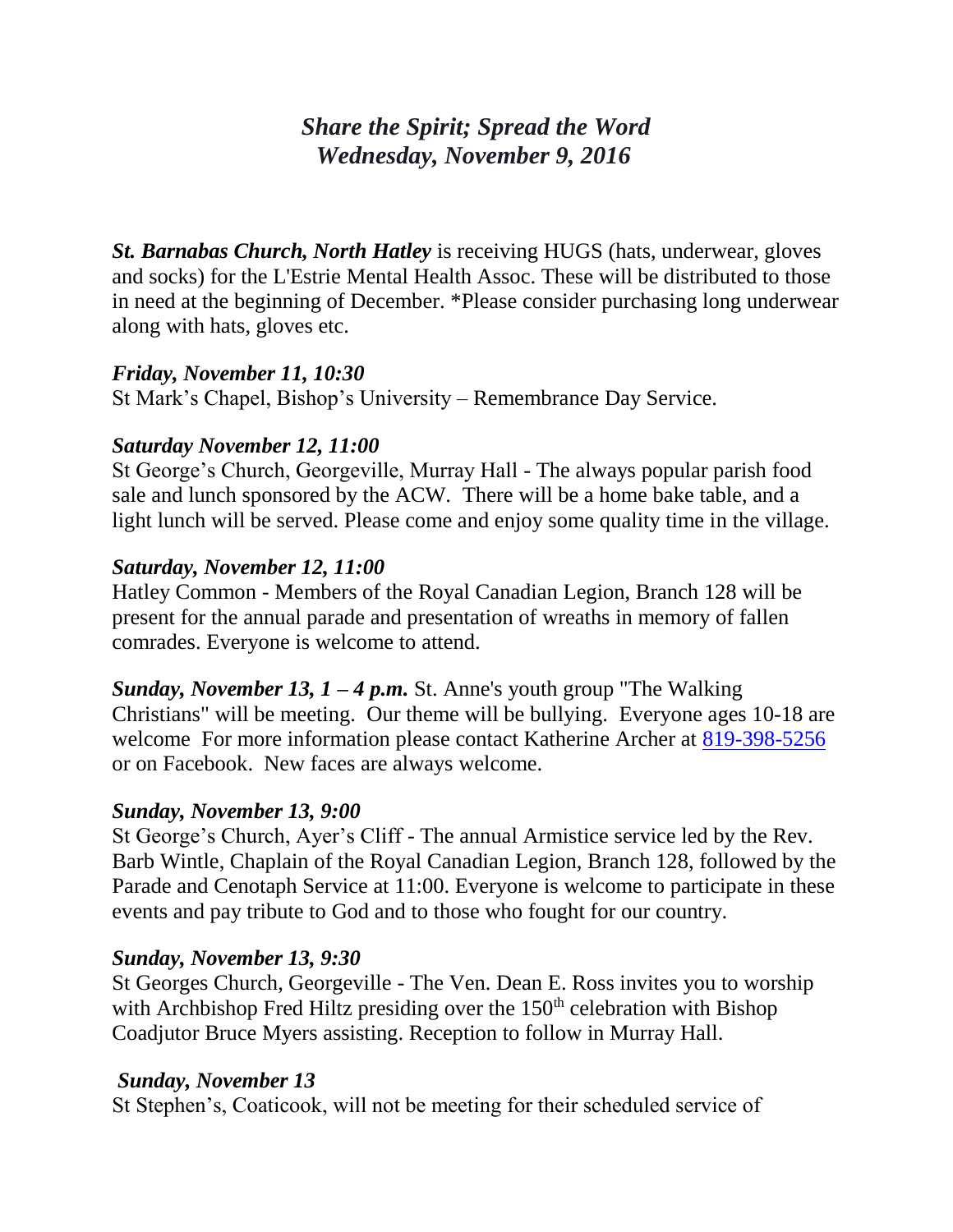# *Share the Spirit; Spread the Word Wednesday, November 9, 2016*

*St. Barnabas Church, North Hatley* is receiving HUGS (hats, underwear, gloves and socks) for the L'Estrie Mental Health Assoc. These will be distributed to those in need at the beginning of December. \*Please consider purchasing long underwear along with hats, gloves etc.

# *Friday, November 11, 10:30*

St Mark's Chapel, Bishop's University – Remembrance Day Service.

# *Saturday November 12, 11:00*

St George's Church, Georgeville, Murray Hall - The always popular parish food sale and lunch sponsored by the ACW. There will be a home bake table, and a light lunch will be served. Please come and enjoy some quality time in the village.

# *Saturday, November 12, 11:00*

Hatley Common - Members of the Royal Canadian Legion, Branch 128 will be present for the annual parade and presentation of wreaths in memory of fallen comrades. Everyone is welcome to attend.

*Sunday, November 13, 1 – 4 p.m.* St. Anne's youth group "The Walking" Christians" will be meeting. Our theme will be bullying. Everyone ages 10-18 are welcome For more information please contact Katherine Archer at [819-398-5256](tel:819-398-5256) or on Facebook. New faces are always welcome.

#### *Sunday, November 13, 9:00*

St George's Church, Ayer's Cliff - The annual Armistice service led by the Rev. Barb Wintle, Chaplain of the Royal Canadian Legion, Branch 128, followed by the Parade and Cenotaph Service at 11:00. Everyone is welcome to participate in these events and pay tribute to God and to those who fought for our country.

#### *Sunday, November 13, 9:30*

St Georges Church, Georgeville - The Ven. Dean E. Ross invites you to worship with Archbishop Fred Hiltz presiding over the  $150<sup>th</sup>$  celebration with Bishop Coadjutor Bruce Myers assisting. Reception to follow in Murray Hall.

#### *Sunday, November 13*

St Stephen's, Coaticook, will not be meeting for their scheduled service of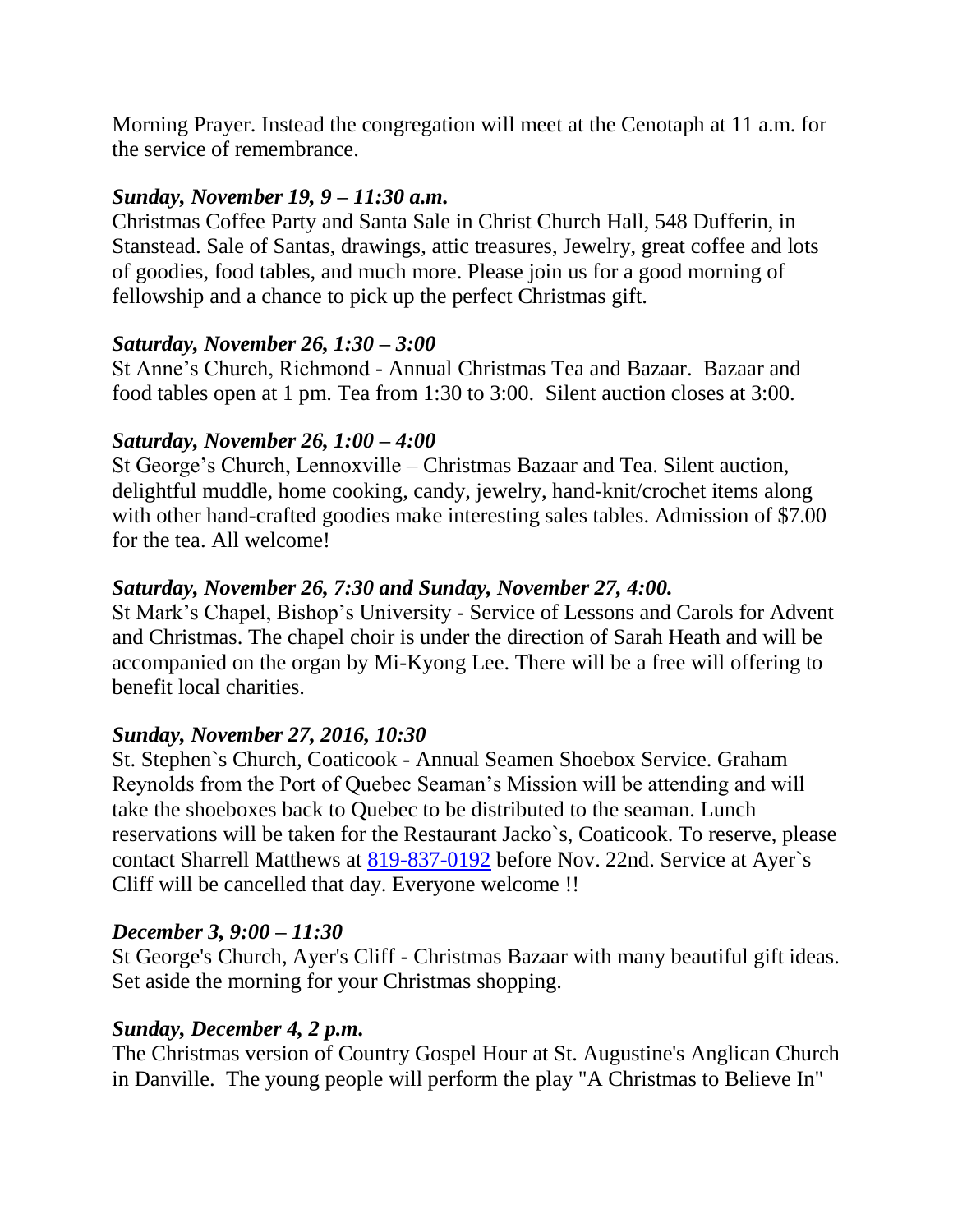Morning Prayer. Instead the congregation will meet at the Cenotaph at 11 a.m. for the service of remembrance.

# *Sunday, November 19, 9 – 11:30 a.m.*

Christmas Coffee Party and Santa Sale in Christ Church Hall, 548 Dufferin, in Stanstead. Sale of Santas, drawings, attic treasures, Jewelry, great coffee and lots of goodies, food tables, and much more. Please join us for a good morning of fellowship and a chance to pick up the perfect Christmas gift.

# *Saturday, November 26, 1:30 – 3:00*

St Anne's Church, Richmond - Annual Christmas Tea and Bazaar. Bazaar and food tables open at 1 pm. Tea from 1:30 to 3:00. Silent auction closes at 3:00.

# *Saturday, November 26, 1:00 – 4:00*

St George's Church, Lennoxville – Christmas Bazaar and Tea. Silent auction, delightful muddle, home cooking, candy, jewelry, hand-knit/crochet items along with other hand-crafted goodies make interesting sales tables. Admission of \$7.00 for the tea. All welcome!

# *Saturday, November 26, 7:30 and Sunday, November 27, 4:00.*

St Mark's Chapel, Bishop's University - Service of Lessons and Carols for Advent and Christmas. The chapel choir is under the direction of Sarah Heath and will be accompanied on the organ by Mi-Kyong Lee. There will be a free will offering to benefit local charities.

# *Sunday, November 27, 2016, 10:30*

St. Stephen`s Church, Coaticook - Annual Seamen Shoebox Service. Graham Reynolds from the Port of Quebec Seaman's Mission will be attending and will take the shoeboxes back to Quebec to be distributed to the seaman. Lunch reservations will be taken for the Restaurant Jacko`s, Coaticook. To reserve, please contact Sharrell Matthews at [819-837-0192](tel:819-837-0192) before Nov. 22nd. Service at Ayer`s Cliff will be cancelled that day. Everyone welcome !!

#### *December 3, 9:00 – 11:30*

St George's Church, Ayer's Cliff - Christmas Bazaar with many beautiful gift ideas. Set aside the morning for your Christmas shopping.

#### *Sunday, December 4, 2 p.m.*

The Christmas version of Country Gospel Hour at St. Augustine's Anglican Church in Danville. The young people will perform the play "A Christmas to Believe In"